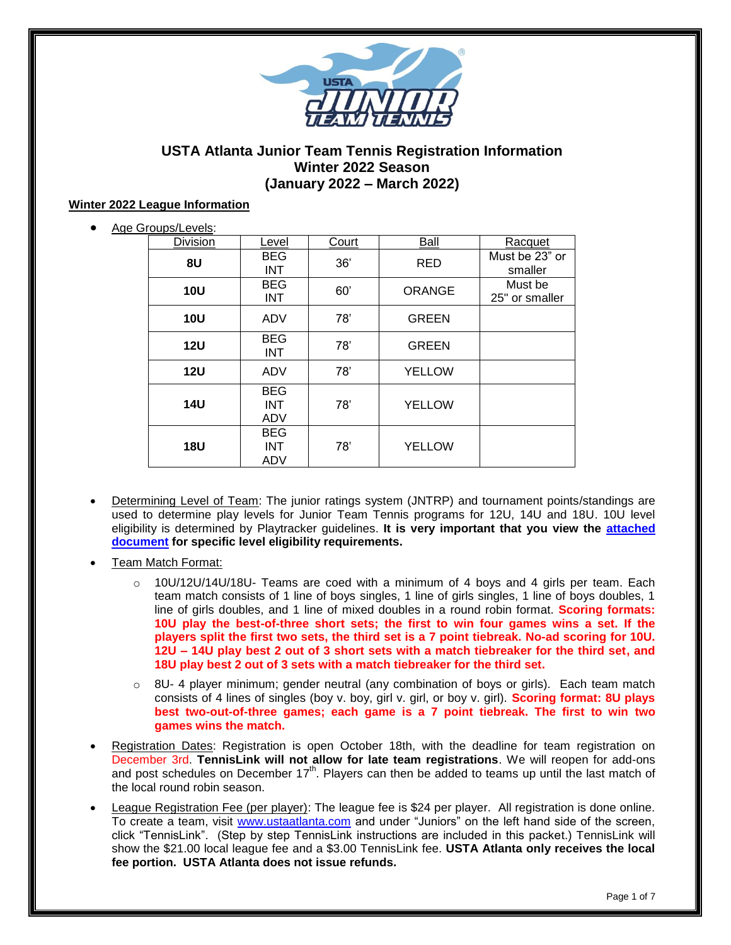

## **USTA Atlanta Junior Team Tennis Registration Information Winter 2022 Season (January 2022 – March 2022)**

#### **Winter 2022 League Information**

| Age Groups/Levels: |
|--------------------|
|                    |

| <b>Division</b> | Level                           | Court | Ball          | Racquet                   |
|-----------------|---------------------------------|-------|---------------|---------------------------|
| 8U              | <b>BEG</b><br><b>INT</b>        | 36'   | <b>RED</b>    | Must be 23" or<br>smaller |
| <b>10U</b>      | <b>BEG</b><br><b>INT</b>        | 60'   | <b>ORANGE</b> | Must be<br>25" or smaller |
| <b>10U</b>      | ADV                             | 78'   | <b>GREEN</b>  |                           |
| <b>12U</b>      | <b>BEG</b><br><b>INT</b>        | 78'   | <b>GREEN</b>  |                           |
| <b>12U</b>      | ADV                             | 78'   | <b>YELLOW</b> |                           |
| <b>14U</b>      | <b>BEG</b><br><b>INT</b><br>ADV | 78'   | <b>YELLOW</b> |                           |
| <b>18U</b>      | <b>BEG</b><br><b>INT</b><br>ADV | 78'   | <b>YELLOW</b> |                           |

- Determining Level of Team: The junior ratings system (JNTRP) and tournament points/standings are used to determine play levels for Junior Team Tennis programs for 12U, 14U and 18U. 10U level eligibility is determined by Playtracker guidelines. **It is very important that you view the [attached](https://82adf012-01c7-425b-b3d7-c0c02e401c5c.filesusr.com/ugd/1867e2_54660f5feed348deac0c5b6e6b385921.pdf)  [document](https://82adf012-01c7-425b-b3d7-c0c02e401c5c.filesusr.com/ugd/1867e2_54660f5feed348deac0c5b6e6b385921.pdf) for specific level eligibility requirements.**
- Team Match Format:
	- $\circ$  10U/12U/14U/18U- Teams are coed with a minimum of 4 boys and 4 girls per team. Each team match consists of 1 line of boys singles, 1 line of girls singles, 1 line of boys doubles, 1 line of girls doubles, and 1 line of mixed doubles in a round robin format. **Scoring formats: 10U play the best-of-three short sets; the first to win four games wins a set. If the players split the first two sets, the third set is a 7 point tiebreak. No-ad scoring for 10U. 12U – 14U play best 2 out of 3 short sets with a match tiebreaker for the third set, and 18U play best 2 out of 3 sets with a match tiebreaker for the third set.**
	- $\circ$  8U- 4 player minimum; gender neutral (any combination of boys or girls). Each team match consists of 4 lines of singles (boy v. boy, girl v. girl, or boy v. girl). **Scoring format: 8U plays best two-out-of-three games; each game is a 7 point tiebreak. The first to win two games wins the match.**
- Registration Dates: Registration is open October 18th, with the deadline for team registration on December 3rd. **TennisLink will not allow for late team registrations**. We will reopen for add-ons and post schedules on December  $17<sup>th</sup>$ . Players can then be added to teams up until the last match of the local round robin season.
- League Registration Fee (per player): The league fee is \$24 per player. All registration is done online. To create a team, visit [www.ustaatlanta.com](http://www.ustaatlanta.com/) and under "Juniors" on the left hand side of the screen, click "TennisLink". (Step by step TennisLink instructions are included in this packet.) TennisLink will show the \$21.00 local league fee and a \$3.00 TennisLink fee. **USTA Atlanta only receives the local fee portion. USTA Atlanta does not issue refunds.**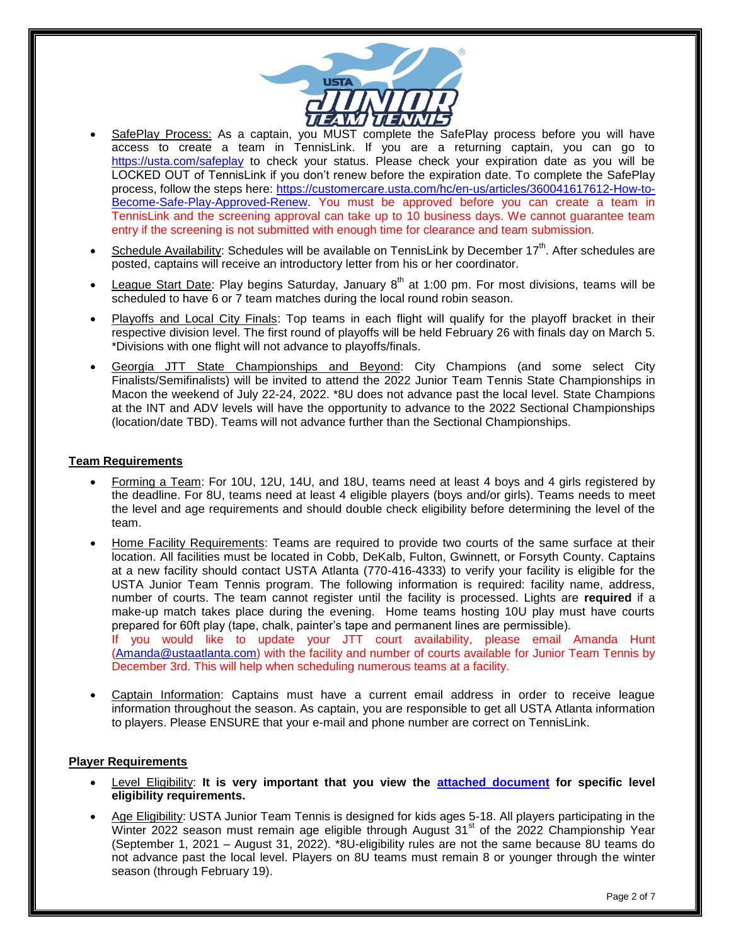

- SafePlay Process: As a captain, you MUST complete the SafePlay process before you will have access to create a team in TennisLink. If you are a returning captain, you can go to <https://usta.com/safeplay> to check your status. Please check your expiration date as you will be LOCKED OUT of TennisLink if you don't renew before the expiration date. To complete the SafePlay process, follow the steps here: [https://customercare.usta.com/hc/en-us/articles/360041617612-How-to-](https://customercare.usta.com/hc/en-us/articles/360041617612-How-to-Become-Safe-Play-Approved-Renew)[Become-Safe-Play-Approved-Renew.](https://customercare.usta.com/hc/en-us/articles/360041617612-How-to-Become-Safe-Play-Approved-Renew) You must be approved before you can create a team in TennisLink and the screening approval can take up to 10 business days. We cannot guarantee team entry if the screening is not submitted with enough time for clearance and team submission.
- Schedule Availability: Schedules will be available on TennisLink by December 17<sup>th</sup>. After schedules are posted, captains will receive an introductory letter from his or her coordinator.
- League Start Date: Play begins Saturday, January 8<sup>th</sup> at 1:00 pm. For most divisions, teams will be scheduled to have 6 or 7 team matches during the local round robin season.
- Playoffs and Local City Finals: Top teams in each flight will qualify for the playoff bracket in their respective division level. The first round of playoffs will be held February 26 with finals day on March 5. \*Divisions with one flight will not advance to playoffs/finals.
- Georgia JTT State Championships and Beyond: City Champions (and some select City Finalists/Semifinalists) will be invited to attend the 2022 Junior Team Tennis State Championships in Macon the weekend of July 22-24, 2022. \*8U does not advance past the local level. State Champions at the INT and ADV levels will have the opportunity to advance to the 2022 Sectional Championships (location/date TBD). Teams will not advance further than the Sectional Championships.

#### **Team Requirements**

- Forming a Team: For 10U, 12U, 14U, and 18U, teams need at least 4 boys and 4 girls registered by the deadline. For 8U, teams need at least 4 eligible players (boys and/or girls). Teams needs to meet the level and age requirements and should double check eligibility before determining the level of the team.
- Home Facility Requirements: Teams are required to provide two courts of the same surface at their location. All facilities must be located in Cobb, DeKalb, Fulton, Gwinnett, or Forsyth County. Captains at a new facility should contact USTA Atlanta (770-416-4333) to verify your facility is eligible for the USTA Junior Team Tennis program. The following information is required: facility name, address, number of courts. The team cannot register until the facility is processed. Lights are **required** if a make-up match takes place during the evening. Home teams hosting 10U play must have courts prepared for 60ft play (tape, chalk, painter's tape and permanent lines are permissible).

If you would like to update your JTT court availability, please email Amanda Hunt [\(Amanda@ustaatlanta.com\)](mailto:Amanda@ustaatlanta.com) with the facility and number of courts available for Junior Team Tennis by December 3rd. This will help when scheduling numerous teams at a facility.

 Captain Information: Captains must have a current email address in order to receive league information throughout the season. As captain, you are responsible to get all USTA Atlanta information to players. Please ENSURE that your e-mail and phone number are correct on TennisLink.

#### **Player Requirements**

- Level Eligibility: **It is very important that you view the [attached document](https://82adf012-01c7-425b-b3d7-c0c02e401c5c.filesusr.com/ugd/1867e2_54660f5feed348deac0c5b6e6b385921.pdf) for specific level eligibility requirements.**
- Age Eligibility: USTA Junior Team Tennis is designed for kids ages 5-18. All players participating in the Winter 2022 season must remain age eligible through August  $31<sup>st</sup>$  of the 2022 Championship Year (September 1, 2021 – August 31, 2022). \*8U-eligibility rules are not the same because 8U teams do not advance past the local level. Players on 8U teams must remain 8 or younger through the winter season (through February 19).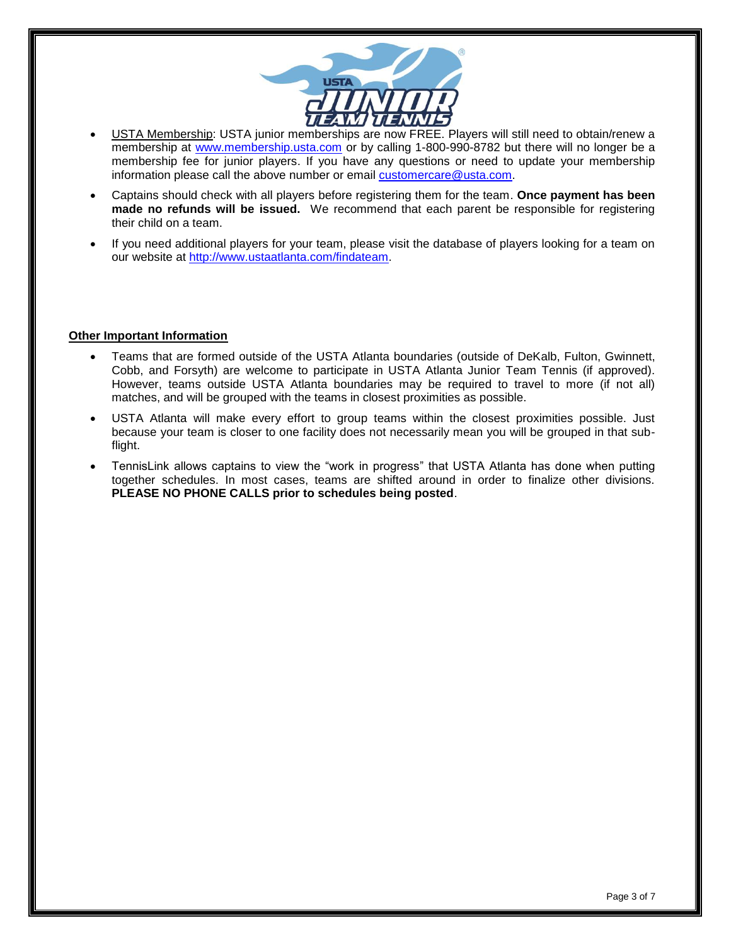

- USTA Membership: USTA junior memberships are now FREE. Players will still need to obtain/renew a membership at [www.membership.usta.com](http://www.membership.usta.com/) or by calling 1-800-990-8782 but there will no longer be a membership fee for junior players. If you have any questions or need to update your membership information please call the above number or email [customercare@usta.com.](mailto:customercare@usta.com)
- Captains should check with all players before registering them for the team. **Once payment has been made no refunds will be issued.** We recommend that each parent be responsible for registering their child on a team.
- If you need additional players for your team, please visit the database of players looking for a team on our website at [http://www.ustaatlanta.com/findateam.](http://www.ustaatlanta.com/findateam)

#### **Other Important Information**

- Teams that are formed outside of the USTA Atlanta boundaries (outside of DeKalb, Fulton, Gwinnett, Cobb, and Forsyth) are welcome to participate in USTA Atlanta Junior Team Tennis (if approved). However, teams outside USTA Atlanta boundaries may be required to travel to more (if not all) matches, and will be grouped with the teams in closest proximities as possible.
- USTA Atlanta will make every effort to group teams within the closest proximities possible. Just because your team is closer to one facility does not necessarily mean you will be grouped in that subflight.
- TennisLink allows captains to view the "work in progress" that USTA Atlanta has done when putting together schedules. In most cases, teams are shifted around in order to finalize other divisions. **PLEASE NO PHONE CALLS prior to schedules being posted**.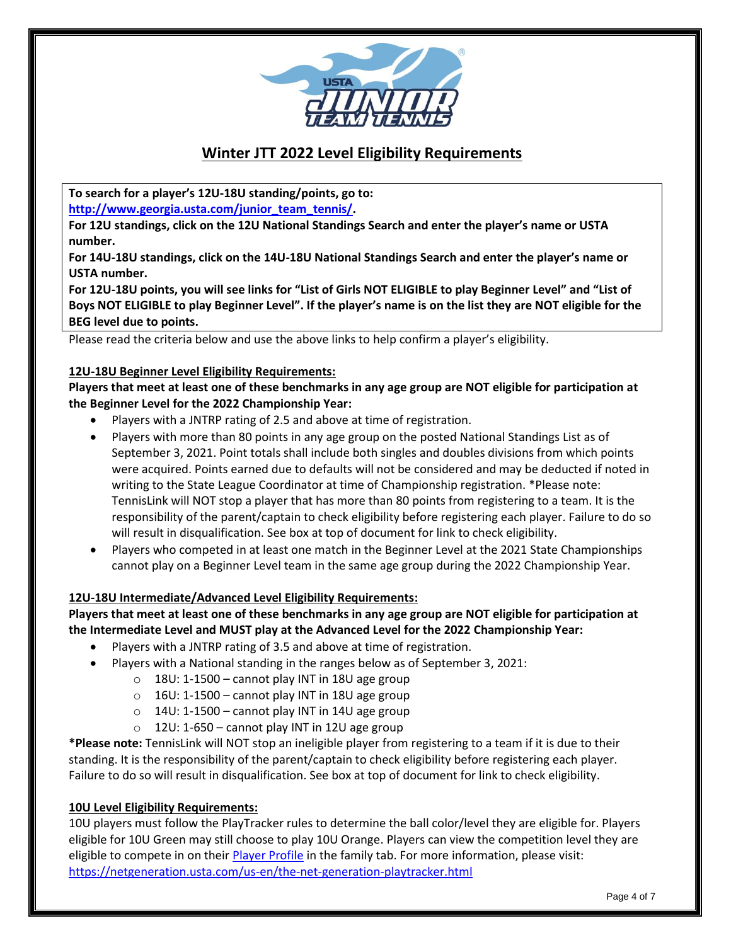

# **Winter JTT 2022 Level Eligibility Requirements**

**To search for a player's 12U-18U standing/points, go to:**

**[http://www.georgia.usta.com/junior\\_team\\_tennis/.](http://www.georgia.usta.com/junior_team_tennis/)**

**For 12U standings, click on the 12U National Standings Search and enter the player's name or USTA number.**

**For 14U-18U standings, click on the 14U-18U National Standings Search and enter the player's name or USTA number.**

**For 12U-18U points, you will see links for "List of Girls NOT ELIGIBLE to play Beginner Level" and "List of Boys NOT ELIGIBLE to play Beginner Level". If the player's name is on the list they are NOT eligible for the BEG level due to points.**

Please read the criteria below and use the above links to help confirm a player's eligibility.

## **12U-18U Beginner Level Eligibility Requirements:**

**Players that meet at least one of these benchmarks in any age group are NOT eligible for participation at the Beginner Level for the 2022 Championship Year:**

- Players with a JNTRP rating of 2.5 and above at time of registration.
- Players with more than 80 points in any age group on the posted National Standings List as of September 3, 2021. Point totals shall include both singles and doubles divisions from which points were acquired. Points earned due to defaults will not be considered and may be deducted if noted in writing to the State League Coordinator at time of Championship registration. \*Please note: TennisLink will NOT stop a player that has more than 80 points from registering to a team. It is the responsibility of the parent/captain to check eligibility before registering each player. Failure to do so will result in disqualification. See box at top of document for link to check eligibility.
- Players who competed in at least one match in the Beginner Level at the 2021 State Championships cannot play on a Beginner Level team in the same age group during the 2022 Championship Year.

## **12U-18U Intermediate/Advanced Level Eligibility Requirements:**

## **Players that meet at least one of these benchmarks in any age group are NOT eligible for participation at the Intermediate Level and MUST play at the Advanced Level for the 2022 Championship Year:**

- Players with a JNTRP rating of 3.5 and above at time of registration.
- Players with a National standing in the ranges below as of September 3, 2021:
	- $\circ$  18U: 1-1500 cannot play INT in 18U age group
	- $\circ$  16U: 1-1500 cannot play INT in 18U age group
	- $\circ$  14U: 1-1500 cannot play INT in 14U age group
	- $\circ$  12U: 1-650 cannot play INT in 12U age group

**\*Please note:** TennisLink will NOT stop an ineligible player from registering to a team if it is due to their standing. It is the responsibility of the parent/captain to check eligibility before registering each player. Failure to do so will result in disqualification. See box at top of document for link to check eligibility.

## **10U Level Eligibility Requirements:**

10U players must follow the PlayTracker rules to determine the ball color/level they are eligible for. Players eligible for 10U Green may still choose to play 10U Orange. Players can view the competition level they are eligible to compete in on their [Player Profile](https://www.usta.com/en/home/myaccount/family.html) in the family tab. For more information, please visit: <https://netgeneration.usta.com/us-en/the-net-generation-playtracker.html>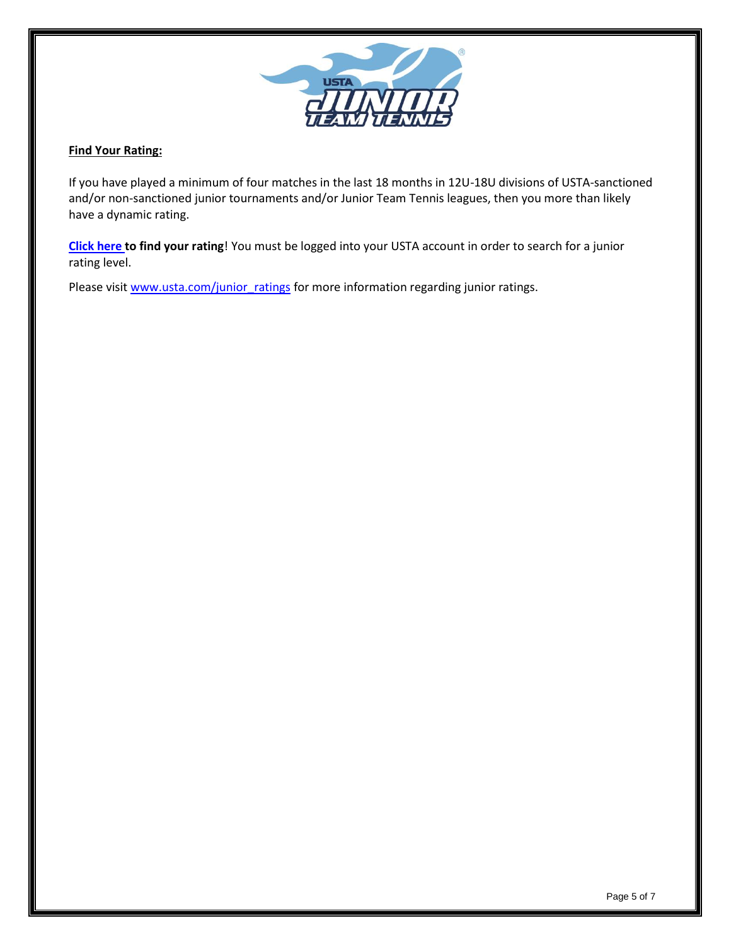

## **Find Your Rating:**

If you have played a minimum of four matches in the last 18 months in 12U-18U divisions of USTA-sanctioned and/or non-sanctioned junior tournaments and/or Junior Team Tennis leagues, then you more than likely have a dynamic rating.

**[Click here](http://tennislink.usta.com/TeamTennis/Main/Home.aspx) [t](http://tennislink.usta.com/TeamTennis/Main/Home.aspx)o find your rating**! You must be logged into your USTA account in order to search for a junior rating level.

Please visit [www.usta.com/junior\\_ratings](http://www.usta.com/junior_ratings) for more information regarding junior ratings.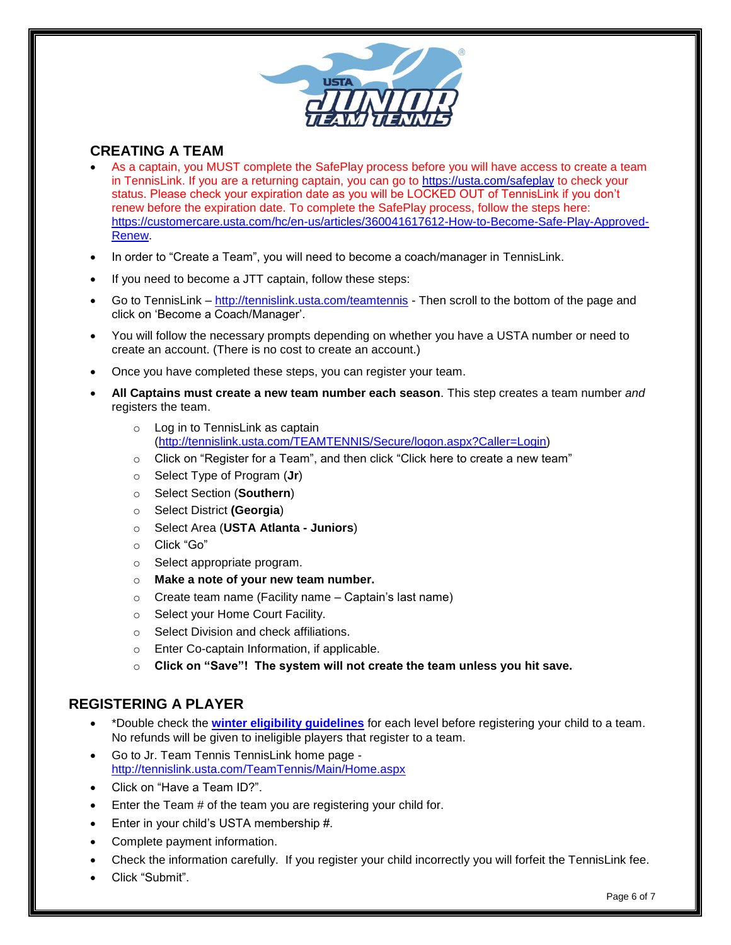

# **CREATING A TEAM**

- As a captain, you MUST complete the SafePlay process before you will have access to create a team in TennisLink. If you are a returning captain, you can go to<https://usta.com/safeplay> to check your status. Please check your expiration date as you will be LOCKED OUT of TennisLink if you don't renew before the expiration date. To complete the SafePlay process, follow the steps here: [https://customercare.usta.com/hc/en-us/articles/360041617612-How-to-Become-Safe-Play-Approved-](https://customercare.usta.com/hc/en-us/articles/360041617612-How-to-Become-Safe-Play-Approved-Renew)[Renew.](https://customercare.usta.com/hc/en-us/articles/360041617612-How-to-Become-Safe-Play-Approved-Renew)
- In order to "Create a Team", you will need to become a coach/manager in TennisLink.
- If you need to become a JTT captain, follow these steps:
- Go to TennisLink <http://tennislink.usta.com/teamtennis> Then scroll to the bottom of the page and click on 'Become a Coach/Manager'.
- You will follow the necessary prompts depending on whether you have a USTA number or need to create an account. (There is no cost to create an account.)
- Once you have completed these steps, you can register your team.
- **All Captains must create a new team number each season**. This step creates a team number *and* registers the team.
	- o Log in to TennisLink as captain [\(http://tennislink.usta.com/TEAMTENNIS/Secure/logon.aspx?Caller=Login\)](http://tennislink.usta.com/TEAMTENNIS/Secure/logon.aspx?Caller=Login)
	- o Click on "Register for a Team", and then click "Click here to create a new team"
	- o Select Type of Program (**Jr**)
	- o Select Section (**Southern**)
	- o Select District **(Georgia**)
	- o Select Area (**USTA Atlanta - Juniors**)
	- o Click "Go"
	- o Select appropriate program.
	- o **Make a note of your new team number.**
	- $\circ$  Create team name (Facility name Captain's last name)
	- o Select your Home Court Facility.
	- o Select Division and check affiliations.
	- o Enter Co-captain Information, if applicable.
	- o **Click on "Save"! The system will not create the team unless you hit save.**

# **REGISTERING A PLAYER**

- \*Double check the **[winter eligibility guidelines](https://82adf012-01c7-425b-b3d7-c0c02e401c5c.filesusr.com/ugd/1867e2_54660f5feed348deac0c5b6e6b385921.pdf)** for each level before registering your child to a team. No refunds will be given to ineligible players that register to a team.
- Go to Jr. Team Tennis TennisLink home page <http://tennislink.usta.com/TeamTennis/Main/Home.aspx>
- Click on "Have a Team ID?".
- Enter the Team # of the team you are registering your child for.
- Enter in your child's USTA membership #.
- Complete payment information.
- Check the information carefully. If you register your child incorrectly you will forfeit the TennisLink fee.
- Click "Submit".